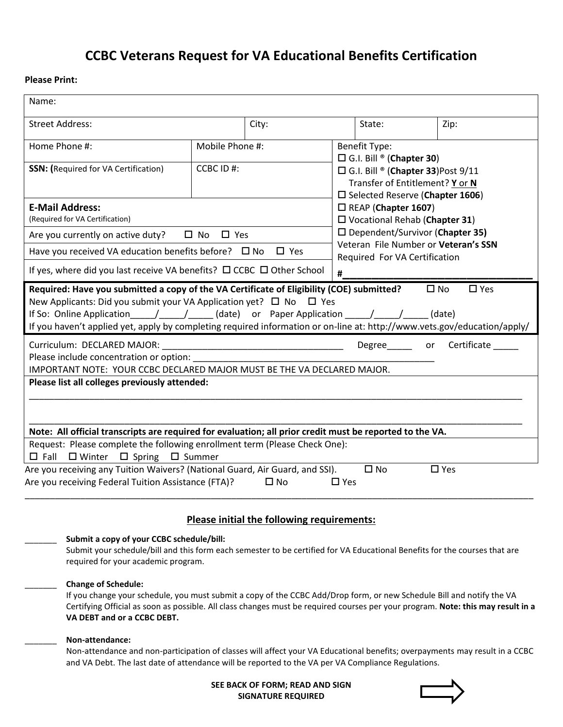# **CCBC Veterans Request for VA Educational Benefits Certification**

# **Please Print:**

| Name:                                                                                                                                                                                                                                                                                                                                                                                                                                        |                 |                                                              |                                                                                                                                                         |      |
|----------------------------------------------------------------------------------------------------------------------------------------------------------------------------------------------------------------------------------------------------------------------------------------------------------------------------------------------------------------------------------------------------------------------------------------------|-----------------|--------------------------------------------------------------|---------------------------------------------------------------------------------------------------------------------------------------------------------|------|
| <b>Street Address:</b>                                                                                                                                                                                                                                                                                                                                                                                                                       |                 | City:                                                        | State:                                                                                                                                                  | Zip: |
| Home Phone #:                                                                                                                                                                                                                                                                                                                                                                                                                                | Mobile Phone #: | <b>Benefit Type:</b>                                         |                                                                                                                                                         |      |
| <b>SSN:</b> (Required for VA Certification)                                                                                                                                                                                                                                                                                                                                                                                                  | CCBC ID #:      |                                                              | $\Box$ G.I. Bill ® (Chapter 30)<br>□ G.I. Bill ® (Chapter 33) Post 9/11<br>Transfer of Entitlement? Y or N<br>$\square$ Selected Reserve (Chapter 1606) |      |
| <b>E-Mail Address:</b><br>(Required for VA Certification)                                                                                                                                                                                                                                                                                                                                                                                    |                 |                                                              | $\Box$ REAP (Chapter 1607)<br>□ Vocational Rehab (Chapter 31)<br>$\square$ Dependent/Survivor (Chapter 35)<br>Veteran File Number or Veteran's SSN      |      |
| $\square$ No<br>$\square$ Yes<br>Are you currently on active duty?                                                                                                                                                                                                                                                                                                                                                                           |                 |                                                              |                                                                                                                                                         |      |
| Have you received VA education benefits before? $\Box$ No<br>$\square$ Yes                                                                                                                                                                                                                                                                                                                                                                   |                 |                                                              | Required For VA Certification                                                                                                                           |      |
| If yes, where did you last receive VA benefits? $\Box$ CCBC $\Box$ Other School                                                                                                                                                                                                                                                                                                                                                              |                 |                                                              | #                                                                                                                                                       |      |
| $\square$ Yes<br>Required: Have you submitted a copy of the VA Certificate of Eligibility (COE) submitted?<br>$\square$ No<br>New Applicants: Did you submit your VA Application yet? $\Box$ No $\Box$ Yes<br>If you haven't applied yet, apply by completing required information or on-line at: http://www.vets.gov/education/apply/<br>Certificate<br>Curriculum: DECLARED MAJOR:<br>Degree or<br>Please include concentration or option: |                 |                                                              |                                                                                                                                                         |      |
| IMPORTANT NOTE: YOUR CCBC DECLARED MAJOR MUST BE THE VA DECLARED MAJOR.<br>Please list all colleges previously attended:                                                                                                                                                                                                                                                                                                                     |                 |                                                              |                                                                                                                                                         |      |
| Note: All official transcripts are required for evaluation; all prior credit must be reported to the VA.                                                                                                                                                                                                                                                                                                                                     |                 |                                                              |                                                                                                                                                         |      |
| Request: Please complete the following enrollment term (Please Check One):                                                                                                                                                                                                                                                                                                                                                                   |                 |                                                              |                                                                                                                                                         |      |
| $\Box$ Fall $\Box$ Winter $\Box$ Spring $\Box$ Summer<br>$\square$ No<br>Are you receiving any Tuition Waivers? (National Guard, Air Guard, and SSI).<br>$\square$ Yes<br>Are you receiving Federal Tuition Assistance (FTA)?<br>$\square$ Yes<br>$\square$ No                                                                                                                                                                               |                 |                                                              |                                                                                                                                                         |      |
| Please initial the following requirements:                                                                                                                                                                                                                                                                                                                                                                                                   |                 |                                                              |                                                                                                                                                         |      |
| Submit a copy of your CCBC schedule/bill:<br>Submit your schedule/bill and this form each semester to be certified for VA Educational Benefits for the courses that are<br>required for your academic program.                                                                                                                                                                                                                               |                 |                                                              |                                                                                                                                                         |      |
| <b>Change of Schedule:</b><br>If you change your schedule, you must submit a copy of the CCBC Add/Drop form, or new Schedule Bill and notify the VA<br>Certifying Official as soon as possible. All class changes must be required courses per your program. Note: this may result in a<br>VA DEBT and or a CCBC DEBT.                                                                                                                       |                 |                                                              |                                                                                                                                                         |      |
| Non-attendance:<br>Non-attendance and non-participation of classes will affect your VA Educational benefits; overpayments may result in a CCBC<br>and VA Debt. The last date of attendance will be reported to the VA per VA Compliance Regulations.                                                                                                                                                                                         |                 |                                                              |                                                                                                                                                         |      |
|                                                                                                                                                                                                                                                                                                                                                                                                                                              |                 | SEE BACK OF FORM; READ AND SIGN<br><b>SIGNATURE REQUIRED</b> |                                                                                                                                                         |      |